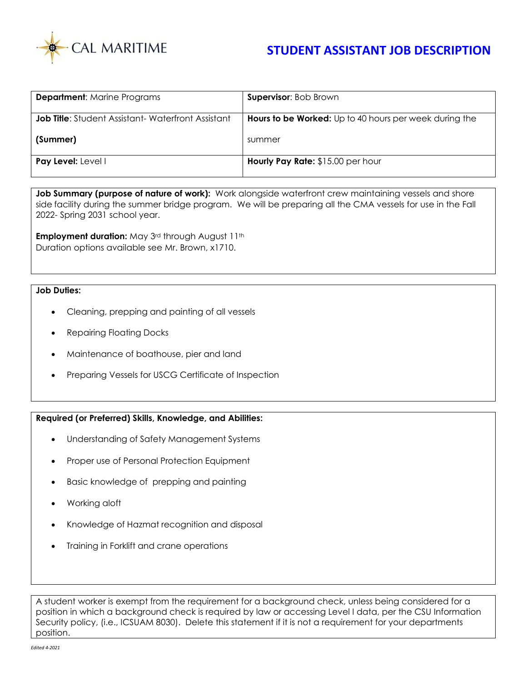

## **STUDENT ASSISTANT JOB DESCRIPTION**

| <b>Department:</b> Marine Programs                       | <b>Supervisor: Bob Brown</b>                                  |
|----------------------------------------------------------|---------------------------------------------------------------|
| <b>Job Title:</b> Student Assistant-Waterfront Assistant | <b>Hours to be Worked:</b> Up to 40 hours per week during the |
| (Summer)                                                 | summer                                                        |
| Pay Level: Level I                                       | Hourly Pay Rate: \$15.00 per hour                             |

Job Summary (purpose of nature of work): Work alongside waterfront crew maintaining vessels and shore side facility during the summer bridge program. We will be preparing all the CMA vessels for use in the Fall 2022- Spring 2031 school year.

**Employment duration:** May 3rd through August 11th Duration options available see Mr. Brown, x1710.

## **Job Duties:**

- Cleaning, prepping and painting of all vessels
- Repairing Floating Docks
- Maintenance of boathouse, pier and land
- Preparing Vessels for USCG Certificate of Inspection

## **Required (or Preferred) Skills, Knowledge, and Abilities:**

- Understanding of Safety Management Systems
- Proper use of Personal Protection Equipment
- Basic knowledge of prepping and painting
- Working aloft
- Knowledge of Hazmat recognition and disposal
- Training in Forklift and crane operations

A student worker is exempt from the requirement for a background check, unless being considered for a position in which a background check is required by law or accessing Level I data, per the CSU Information Security policy, (i.e., ICSUAM 8030). Delete this statement if it is not a requirement for your departments position.